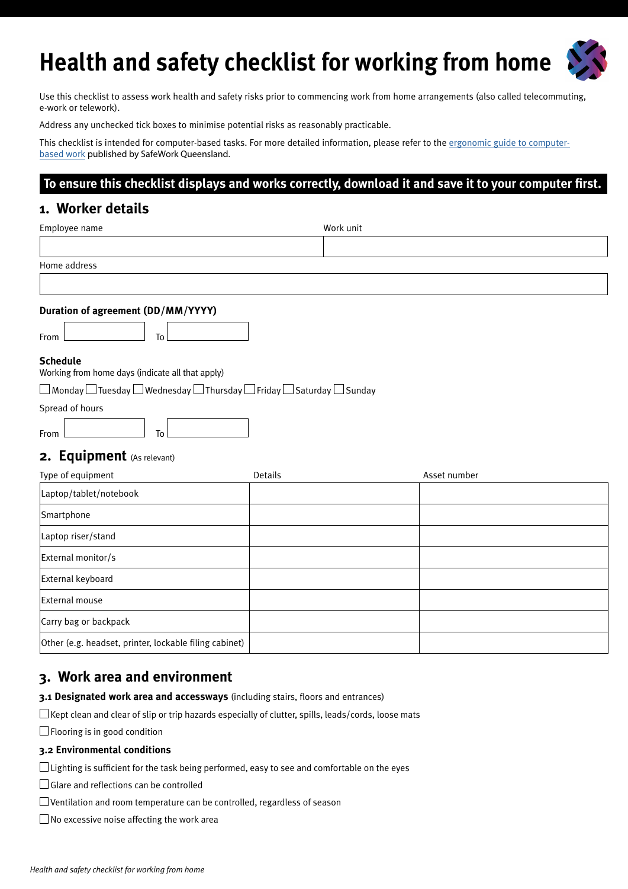# **Health and safety checklist for working from home**

Use this checklist to assess work health and safety risks prior to commencing work from home arrangements (also called telecommuting, e-work or telework).

Address any unchecked tick boxes to minimise potential risks as reasonably practicable.

This checklist is intended for computer-based tasks. For more detailed information, please refer to the [ergonomic guide to computer](https://www.worksafe.qld.gov.au/__data/assets/pdf_file/0006/83067/guide-ergo-comp-workstations.pdf)[based](https://www.worksafe.qld.gov.au/__data/assets/pdf_file/0006/83067/guide-ergo-comp-workstations.pdf) work published by SafeWork Queensland.

### **To ensure this checklist displays and works correctly, download it and save it to your computer first.**

## **1. Worker details**

| Employee name                                                                                             | Work unit |              |
|-----------------------------------------------------------------------------------------------------------|-----------|--------------|
|                                                                                                           |           |              |
| Home address                                                                                              |           |              |
|                                                                                                           |           |              |
| Duration of agreement (DD/MM/YYYY)                                                                        |           |              |
| To<br>From                                                                                                |           |              |
| <b>Schedule</b><br>Working from home days (indicate all that apply)                                       |           |              |
| $\Box$ Monday $\Box$ Tuesday $\Box$ Wednesday $\Box$ Thursday $\Box$ Friday $\Box$ Saturday $\Box$ Sunday |           |              |
| Spread of hours                                                                                           |           |              |
| To<br>From                                                                                                |           |              |
| 2. Equipment (As relevant)                                                                                |           |              |
| Type of equipment                                                                                         | Details   | Asset number |
| Laptop/tablet/notebook                                                                                    |           |              |
| Smartphone                                                                                                |           |              |
| Laptop riser/stand                                                                                        |           |              |
| External monitor/s                                                                                        |           |              |
| External keyboard                                                                                         |           |              |
| External mouse                                                                                            |           |              |
| Carry bag or backpack                                                                                     |           |              |
| Other (e.g. headset, printer, lockable filing cabinet)                                                    |           |              |

## **3. Work area and environment**

**3.1 Designated work area and accessways** (including stairs, floors and entrances)

 $\square$  Kept clean and clear of slip or trip hazards especially of clutter, spills, leads/cords, loose mats

 $\Box$  Flooring is in good condition

#### **3.2 Environmental conditions**

 $\Box$  Lighting is sufficient for the task being performed, easy to see and comfortable on the eyes

Glare and reflections can be controlled

Ventilation and room temperature can be controlled, regardless of season

 $\Box$  No excessive noise affecting the work area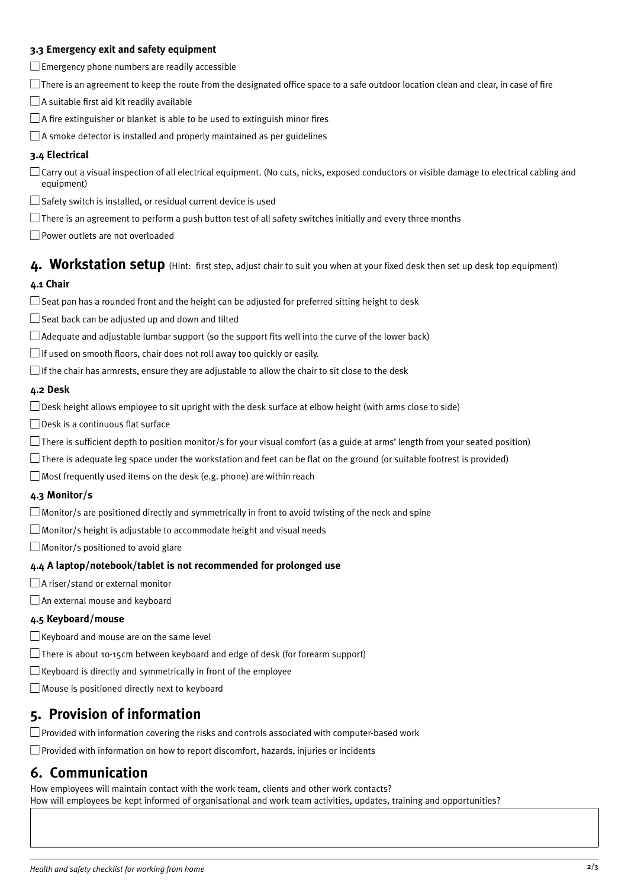#### **3.3 Emergency exit and safety equipment**

 $\square$  Emergency phone numbers are readily accessible

 $\Box$  There is an agreement to keep the route from the designated office space to a safe outdoor location clean and clear, in case of fire

 $\Box$  A suitable first aid kit readily available

 $\Box$  A fire extinguisher or blanket is able to be used to extinguish minor fires

 $\Box$  A smoke detector is installed and properly maintained as per guidelines

#### **3.4 Electrical**

 $\Box$  Carry out a visual inspection of all electrical equipment. (No cuts, nicks, exposed conductors or visible damage to electrical cabling and equipment)

 $\square$  Safety switch is installed, or residual current device is used

 $\Box$  There is an agreement to perform a push button test of all safety switches initially and every three months

Power outlets are not overloaded

**4. Workstation setup** (Hint: first step, adjust chair to suit you when at your fixed desk then set up desk top equipment)

#### **4.1 Chair**

 $\square$  Seat pan has a rounded front and the height can be adjusted for preferred sitting height to desk

 $\square$  Seat back can be adjusted up and down and tilted

- $\Box$  Adequate and adjustable lumbar support (so the support fits well into the curve of the lower back)
- $\Box$  If used on smooth floors, chair does not roll away too quickly or easily.
- $\Box$  If the chair has armrests, ensure they are adjustable to allow the chair to sit close to the desk

#### **4.2 Desk**

 $\Box$  Desk height allows employee to sit upright with the desk surface at elbow height (with arms close to side)

□ Desk is a continuous flat surface

- There is sufficient depth to position monitor/s for your visual comfort (as a guide at arms' length from your seated position)
- $\Box$  There is adequate leg space under the workstation and feet can be flat on the ground (or suitable footrest is provided)

 $\Box$  Most frequently used items on the desk (e.g. phone) are within reach

#### **4.3 Monitor/s**

 $\Box$  Monitor/s are positioned directly and symmetrically in front to avoid twisting of the neck and spine

 $\Box$  Monitor/s height is adjustable to accommodate height and visual needs

 $\Box$  Monitor/s positioned to avoid glare

#### **4.4 A laptop/notebook/tablet is not recommended for prolonged use**

□A riser/stand or external monitor

An external mouse and keyboard

#### **4.5 Keyboard/mouse**

 $\Box$  Keyboard and mouse are on the same level

 $\Box$  There is about 10-15cm between keyboard and edge of desk (for forearm support)

 $\square$  Keyboard is directly and symmetrically in front of the employee

Mouse is positioned directly next to keyboard

## **5. Provision of information**

 $\square$  Provided with information covering the risks and controls associated with computer-based work

 $\Box$  Provided with information on how to report discomfort, hazards, injuries or incidents

## **6. Communication**

How employees will maintain contact with the work team, clients and other work contacts? How will employees be kept informed of organisational and work team activities, updates, training and opportunities?